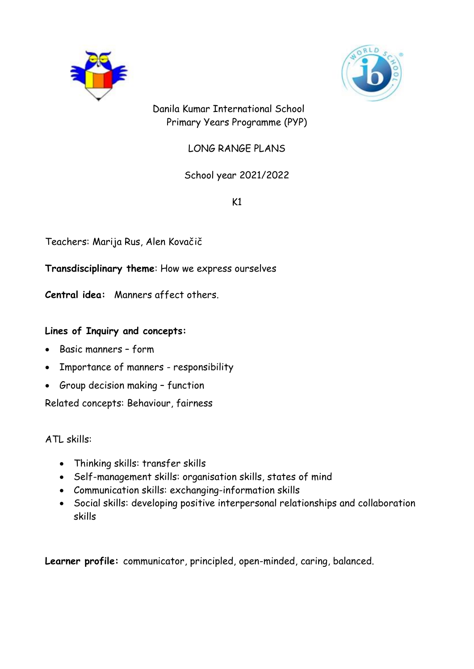



 Danila Kumar International School Primary Years Programme (PYP)

LONG RANGE PLANS

# School year 2021/2022

 $K1$ 

Teachers: Marija Rus, Alen Kovačič

**Transdisciplinary theme**: How we express ourselves

**Central idea:** Manners affect others.

## **Lines of Inquiry and concepts:**

- Basic manners form
- Importance of manners responsibility
- Group decision making function

Related concepts: Behaviour, fairness

ATL skills:

- Thinking skills: transfer skills
- Self-management skills: organisation skills, states of mind
- Communication skills: exchanging-information skills
- Social skills: developing positive interpersonal relationships and collaboration skills

**Learner profile:** communicator, principled, open-minded, caring, balanced.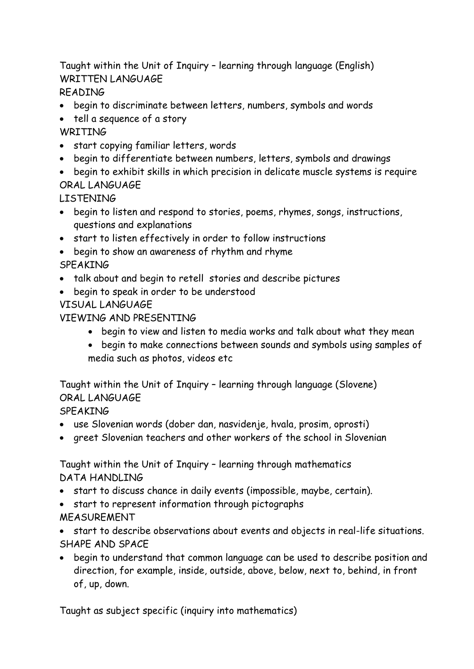Taught within the Unit of Inquiry – learning through language (English) WRITTEN LANGUAGE

READING

- begin to discriminate between letters, numbers, symbols and words
- tell a sequence of a story **WRTTTNG**
- start copying familiar letters, words
- begin to differentiate between numbers, letters, symbols and drawings
- begin to exhibit skills in which precision in delicate muscle systems is require ORAL LANGUAGE

LISTENING

- begin to listen and respond to stories, poems, rhymes, songs, instructions, questions and explanations
- start to listen effectively in order to follow instructions
- begin to show an awareness of rhythm and rhyme
- SPEAKING
- talk about and begin to retell stories and describe pictures
- begin to speak in order to be understood

VISUAL LANGUAGE

# VIEWING AND PRESENTING

- begin to view and listen to media works and talk about what they mean
- begin to make connections between sounds and symbols using samples of media such as photos, videos etc

Taught within the Unit of Inquiry – learning through language (Slovene) ORAL LANGUAGE

SPEAKING

- use Slovenian words (dober dan, nasvidenje, hvala, prosim, oprosti)
- greet Slovenian teachers and other workers of the school in Slovenian

Taught within the Unit of Inquiry – learning through mathematics DATA HANDLING

- start to discuss chance in daily events (impossible, maybe, certain).
- start to represent information through pictographs MEASUREMENT
- start to describe observations about events and objects in real-life situations. SHAPE AND SPACE
- begin to understand that common language can be used to describe position and direction, for example, inside, outside, above, below, next to, behind, in front of, up, down.

Taught as subject specific (inquiry into mathematics)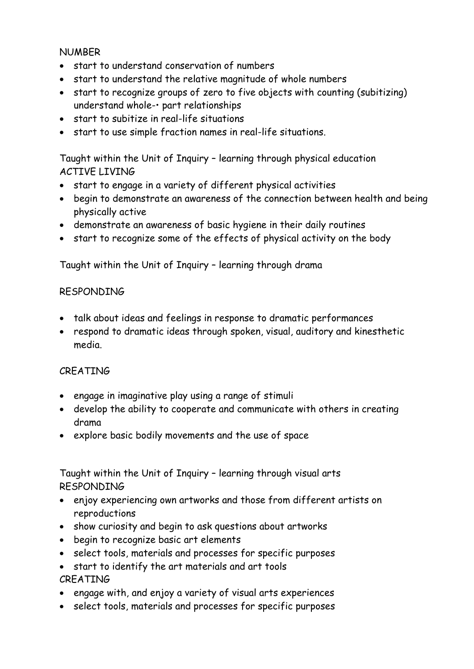#### NUMBER

- start to understand conservation of numbers
- start to understand the relative magnitude of whole numbers
- start to recognize groups of zero to five objects with counting (subitizing) understand whole-• part relationships
- start to subitize in real-life situations
- start to use simple fraction names in real-life situations.

 Taught within the Unit of Inquiry – learning through physical education ACTIVE LIVING

- start to engage in a variety of different physical activities
- begin to demonstrate an awareness of the connection between health and being physically active
- demonstrate an awareness of basic hygiene in their daily routines
- start to recognize some of the effects of physical activity on the body

Taught within the Unit of Inquiry – learning through drama

## RESPONDING

- talk about ideas and feelings in response to dramatic performances
- respond to dramatic ideas through spoken, visual, auditory and kinesthetic media.

## **CREATING**

- engage in imaginative play using a range of stimuli
- develop the ability to cooperate and communicate with others in creating drama
- explore basic bodily movements and the use of space

Taught within the Unit of Inquiry – learning through visual arts RESPONDING

- enjoy experiencing own artworks and those from different artists on reproductions
- show curiosity and begin to ask questions about artworks
- begin to recognize basic art elements
- select tools, materials and processes for specific purposes
- start to identify the art materials and art tools CREATING
- engage with, and enjoy a variety of visual arts experiences
- select tools, materials and processes for specific purposes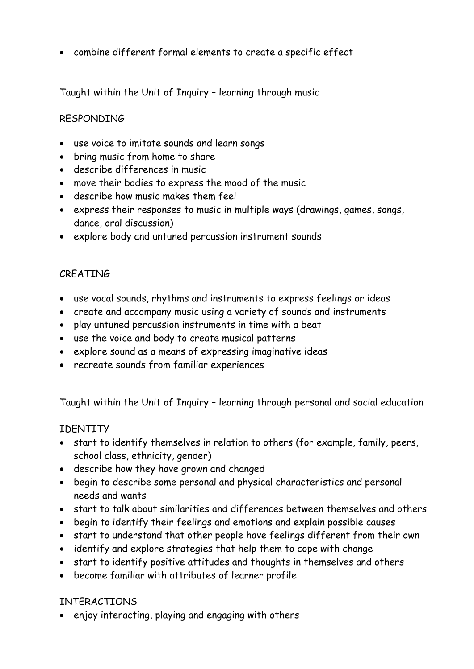combine different formal elements to create a specific effect

Taught within the Unit of Inquiry – learning through music

## RESPONDING

- use voice to imitate sounds and learn songs
- bring music from home to share
- describe differences in music
- move their bodies to express the mood of the music
- describe how music makes them feel
- express their responses to music in multiple ways (drawings, games, songs, dance, oral discussion)
- explore body and untuned percussion instrument sounds

#### CREATING

- use vocal sounds, rhythms and instruments to express feelings or ideas
- create and accompany music using a variety of sounds and instruments
- play untuned percussion instruments in time with a beat
- use the voice and body to create musical patterns
- explore sound as a means of expressing imaginative ideas
- recreate sounds from familiar experiences

Taught within the Unit of Inquiry – learning through personal and social education

#### IDENTITY

- start to identify themselves in relation to others (for example, family, peers, school class, ethnicity, gender)
- describe how they have grown and changed
- begin to describe some personal and physical characteristics and personal needs and wants
- start to talk about similarities and differences between themselves and others
- begin to identify their feelings and emotions and explain possible causes
- start to understand that other people have feelings different from their own
- identify and explore strategies that help them to cope with change
- start to identify positive attitudes and thoughts in themselves and others
- become familiar with attributes of learner profile

## INTERACTIONS

enjoy interacting, playing and engaging with others